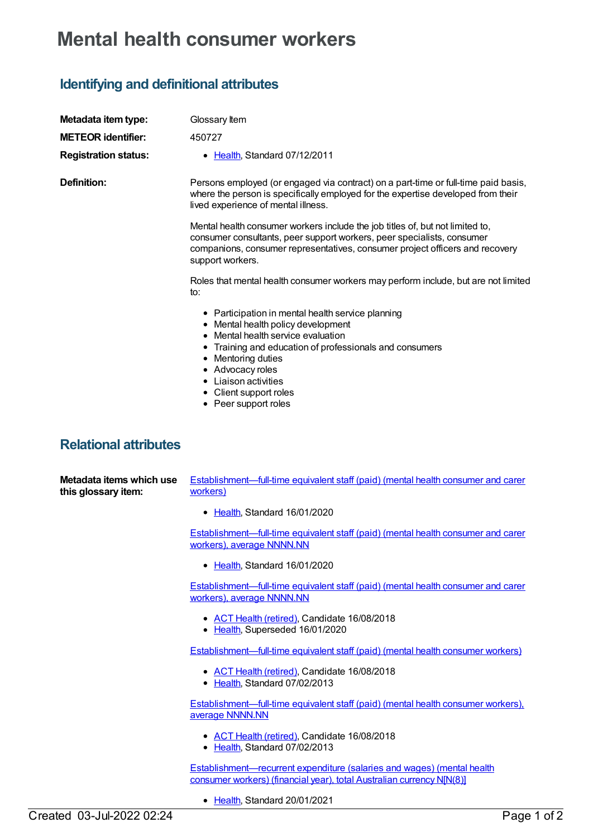## **Mental health consumer workers**

## **Identifying and definitional attributes**

| Metadata item type:<br><b>METEOR</b> identifier:<br><b>Registration status:</b> | Glossary Item<br>450727<br>• Health, Standard 07/12/2011                                                                                                                                                                                                                                                     |
|---------------------------------------------------------------------------------|--------------------------------------------------------------------------------------------------------------------------------------------------------------------------------------------------------------------------------------------------------------------------------------------------------------|
| <b>Definition:</b>                                                              | Persons employed (or engaged via contract) on a part-time or full-time paid basis,<br>where the person is specifically employed for the expertise developed from their<br>lived experience of mental illness.                                                                                                |
|                                                                                 | Mental health consumer workers include the job titles of, but not limited to,<br>consumer consultants, peer support workers, peer specialists, consumer<br>companions, consumer representatives, consumer project officers and recovery<br>support workers.                                                  |
|                                                                                 | Roles that mental health consumer workers may perform include, but are not limited<br>to:                                                                                                                                                                                                                    |
|                                                                                 | • Participation in mental health service planning<br>• Mental health policy development<br>• Mental health service evaluation<br>• Training and education of professionals and consumers<br>• Mentoring duties<br>• Advocacy roles<br>• Liaison activities<br>• Client support roles<br>• Peer support roles |
| <b>Relational attributes</b>                                                    |                                                                                                                                                                                                                                                                                                              |
| Metadata items which use<br>this glossary item:                                 | Establishment—full-time equivalent staff (paid) (mental health consumer and carer<br>workers)                                                                                                                                                                                                                |
|                                                                                 | • Health, Standard 16/01/2020                                                                                                                                                                                                                                                                                |
|                                                                                 | Establishment-full-time equivalent staff (paid) (mental health consumer and carer<br>workers), average NNNN.NN                                                                                                                                                                                               |
|                                                                                 | • Health, Standard 16/01/2020                                                                                                                                                                                                                                                                                |
|                                                                                 | Establishment-full-time equivalent staff (paid) (mental health consumer and carer<br>workers), average NNNN.NN                                                                                                                                                                                               |

- ACT Health [\(retired\)](https://meteor.aihw.gov.au/RegistrationAuthority/9), Candidate 16/08/2018
- [Health](https://meteor.aihw.gov.au/RegistrationAuthority/12), Superseded 16/01/2020

[Establishment—full-time](https://meteor.aihw.gov.au/content/450824) equivalent staff (paid) (mental health consumer workers)

- ACT Health [\(retired\)](https://meteor.aihw.gov.au/RegistrationAuthority/9), Candidate 16/08/2018
- [Health](https://meteor.aihw.gov.au/RegistrationAuthority/12), Standard 07/02/2013

[Establishment—full-time](https://meteor.aihw.gov.au/content/450821) equivalent staff (paid) (mental health consumer workers), average NNNN.NN

- ACT Health [\(retired\)](https://meteor.aihw.gov.au/RegistrationAuthority/9), Candidate 16/08/2018
- [Health](https://meteor.aihw.gov.au/RegistrationAuthority/12), Standard 07/02/2013

[Establishment—recurrent](https://meteor.aihw.gov.au/content/736971) expenditure (salaries and wages) (mental health consumer workers) (financial year), total Australian currency N[N(8)]

• [Health](https://meteor.aihw.gov.au/RegistrationAuthority/12), Standard 20/01/2021